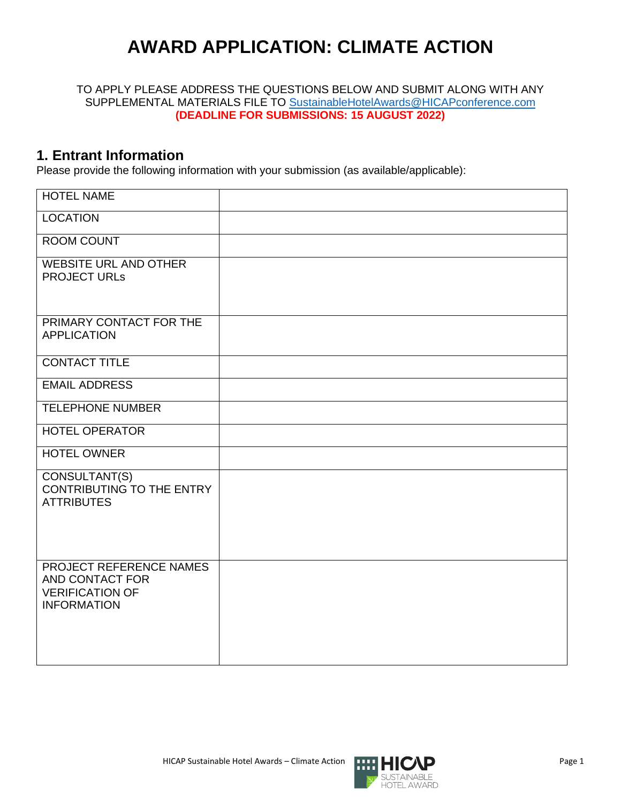# **AWARD APPLICATION: CLIMATE ACTION**

TO APPLY PLEASE ADDRESS THE QUESTIONS BELOW AND SUBMIT ALONG WITH ANY SUPPLEMENTAL MATERIALS FILE TO [SustainableHotelAwards@HICAPconference.com](mailto:SustainableHotelAwards@HICAPconference.com) **(DEADLINE FOR SUBMISSIONS: 15 AUGUST 2022)**

#### **1. Entrant Information**

Please provide the following information with your submission (as available/applicable):

| <b>HOTEL NAME</b>                                                                          |  |
|--------------------------------------------------------------------------------------------|--|
| <b>LOCATION</b>                                                                            |  |
| <b>ROOM COUNT</b>                                                                          |  |
| <b>WEBSITE URL AND OTHER</b><br><b>PROJECT URLS</b>                                        |  |
| PRIMARY CONTACT FOR THE<br><b>APPLICATION</b>                                              |  |
| <b>CONTACT TITLE</b>                                                                       |  |
| <b>EMAIL ADDRESS</b>                                                                       |  |
| <b>TELEPHONE NUMBER</b>                                                                    |  |
| <b>HOTEL OPERATOR</b>                                                                      |  |
| <b>HOTEL OWNER</b>                                                                         |  |
| CONSULTANT(S)<br><b>CONTRIBUTING TO THE ENTRY</b><br><b>ATTRIBUTES</b>                     |  |
| PROJECT REFERENCE NAMES<br>AND CONTACT FOR<br><b>VERIFICATION OF</b><br><b>INFORMATION</b> |  |

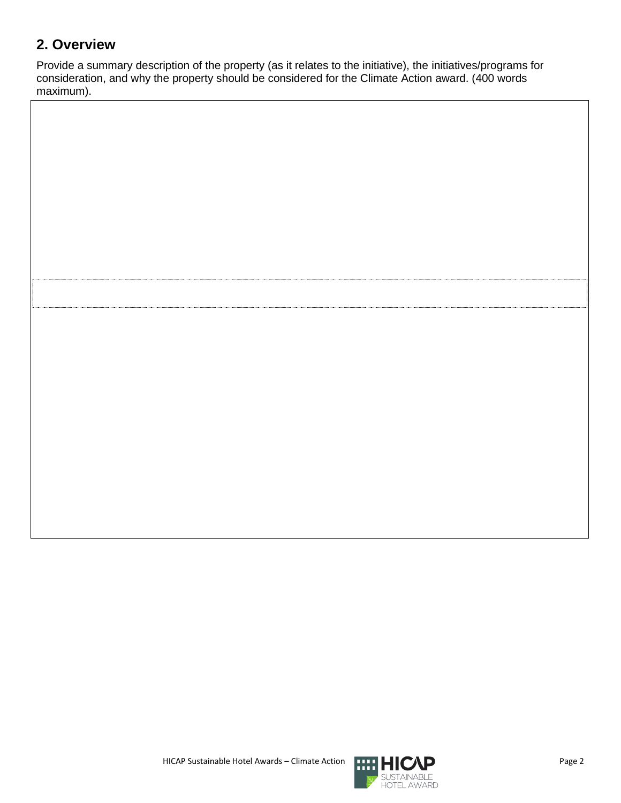## **2. Overview**

Provide a summary description of the property (as it relates to the initiative), the initiatives/programs for consideration, and why the property should be considered for the Climate Action award. (400 words maximum).

HICAP Sustainable Hotel Awards – Climate Action **Page 2** Page 2

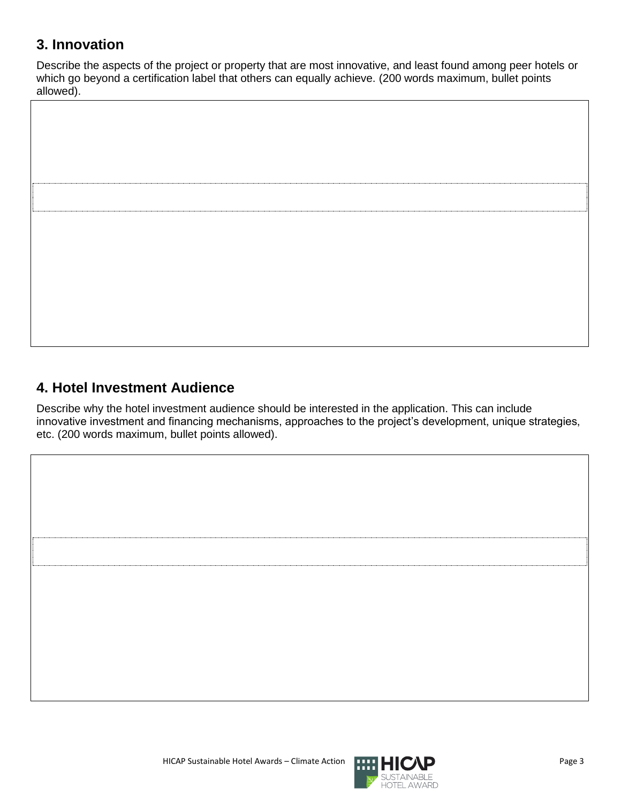## **3. Innovation**

Describe the aspects of the project or property that are most innovative, and least found among peer hotels or which go beyond a certification label that others can equally achieve. (200 words maximum, bullet points allowed).



## **4. Hotel Investment Audience**

Describe why the hotel investment audience should be interested in the application. This can include innovative investment and financing mechanisms, approaches to the project's development, unique strategies, etc. (200 words maximum, bullet points allowed).

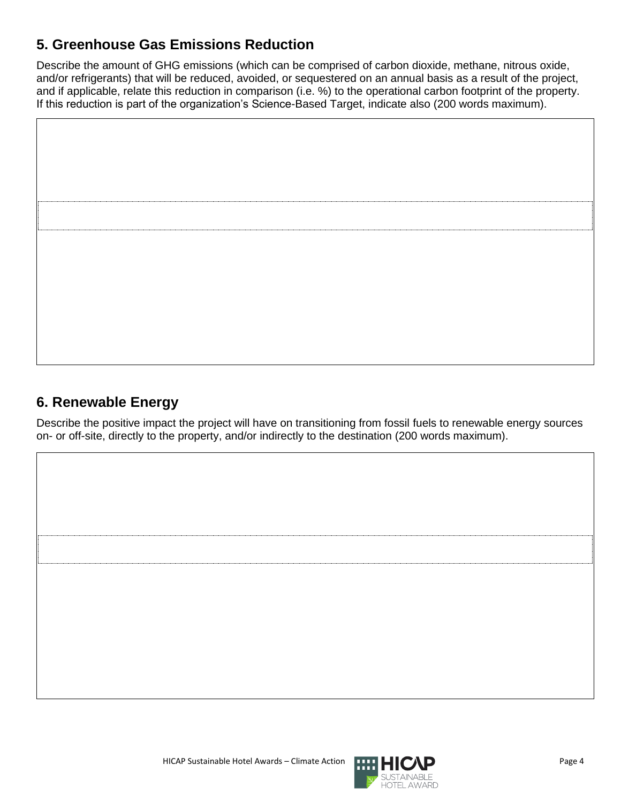# **5. Greenhouse Gas Emissions Reduction**

Describe the amount of GHG emissions (which can be comprised of carbon dioxide, methane, nitrous oxide, and/or refrigerants) that will be reduced, avoided, or sequestered on an annual basis as a result of the project, and if applicable, relate this reduction in comparison (i.e. %) to the operational carbon footprint of the property. If this reduction is part of the organization's Science-Based Target, indicate also (200 words maximum).

#### **6. Renewable Energy**

Describe the positive impact the project will have on transitioning from fossil fuels to renewable energy sources on- or off-site, directly to the property, and/or indirectly to the destination (200 words maximum).

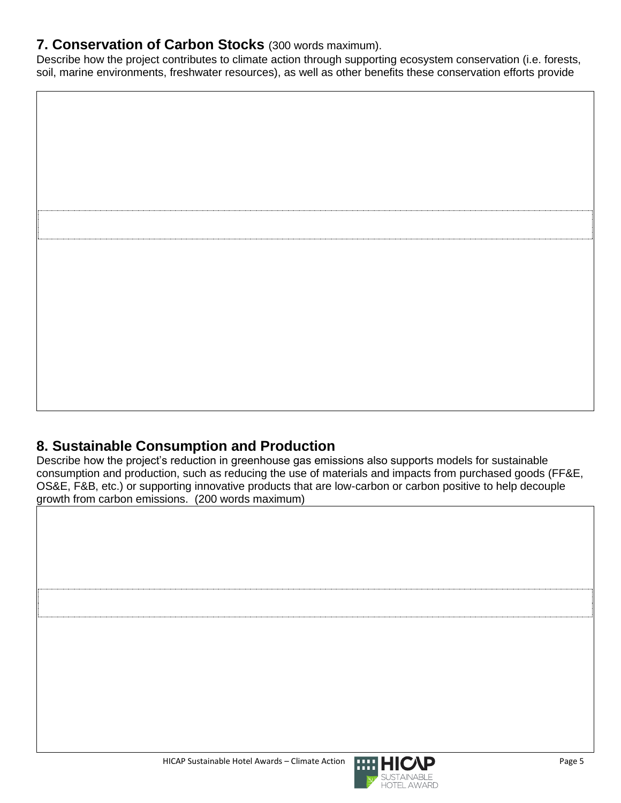#### **7. Conservation of Carbon Stocks** (300 words maximum).

Describe how the project contributes to climate action through supporting ecosystem conservation (i.e. forests, soil, marine environments, freshwater resources), as well as other benefits these conservation efforts provide



# **8. Sustainable Consumption and Production**

Describe how the project's reduction in greenhouse gas emissions also supports models for sustainable consumption and production, such as reducing the use of materials and impacts from purchased goods (FF&E, OS&E, F&B, etc.) or supporting innovative products that are low-carbon or carbon positive to help decouple growth from carbon emissions. (200 words maximum)



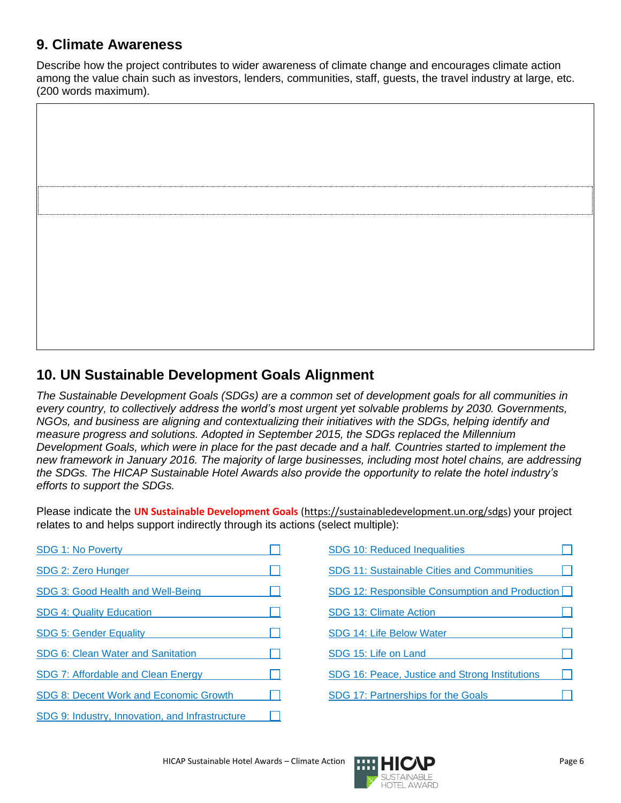#### **9. Climate Awareness**

Describe how the project contributes to wider awareness of climate change and encourages climate action among the value chain such as investors, lenders, communities, staff, guests, the travel industry at large, etc. (200 words maximum).



# **10. UN Sustainable Development Goals Alignment**

*The Sustainable Development Goals (SDGs) are a common set of development goals for all communities in every country, to collectively address the world's most urgent yet solvable problems by 2030. Governments, NGOs, and business are aligning and contextualizing their initiatives with the SDGs, helping identify and measure progress and solutions. Adopted in September 2015, the SDGs replaced the Millennium Development Goals, which were in place for the past decade and a half. Countries started to implement the new framework in January 2016. The majority of large businesses, including most hotel chains, are addressing the SDGs. The HICAP Sustainable Hotel Awards also provide the opportunity to relate the hotel industry's efforts to support the SDGs.*

Please indicate the **UN Sustainable Development Goals** [\(https://sustainabledevelopment.un.org/sdgs\)](https://sustainabledevelopment.un.org/sdgs) your project relates to and helps support indirectly through its actions (select multiple):

| <b>SDG 1: No Poverty</b>                        |  |
|-------------------------------------------------|--|
| SDG 2: Zero Hunger                              |  |
| SDG 3: Good Health and Well-Being               |  |
| <b>SDG 4: Quality Education</b>                 |  |
| <b>SDG 5: Gender Equality</b>                   |  |
| SDG 6: Clean Water and Sanitation               |  |
| SDG 7: Affordable and Clean Energy              |  |
| SDG 8: Decent Work and Economic Growth          |  |
| SDG 9: Industry, Innovation, and Infrastructure |  |

| SDG 10: Reduced Inequalities                          |  |
|-------------------------------------------------------|--|
| SDG 11: Sustainable Cities and Communities            |  |
| SDG 12: Responsible Consumption and Production $\Box$ |  |
| <b>SDG 13: Climate Action</b>                         |  |
| SDG 14: Life Below Water                              |  |
| SDG 15: Life on Land                                  |  |
| SDG 16: Peace, Justice and Strong Institutions        |  |
| SDG 17: Partnerships for the Goals                    |  |